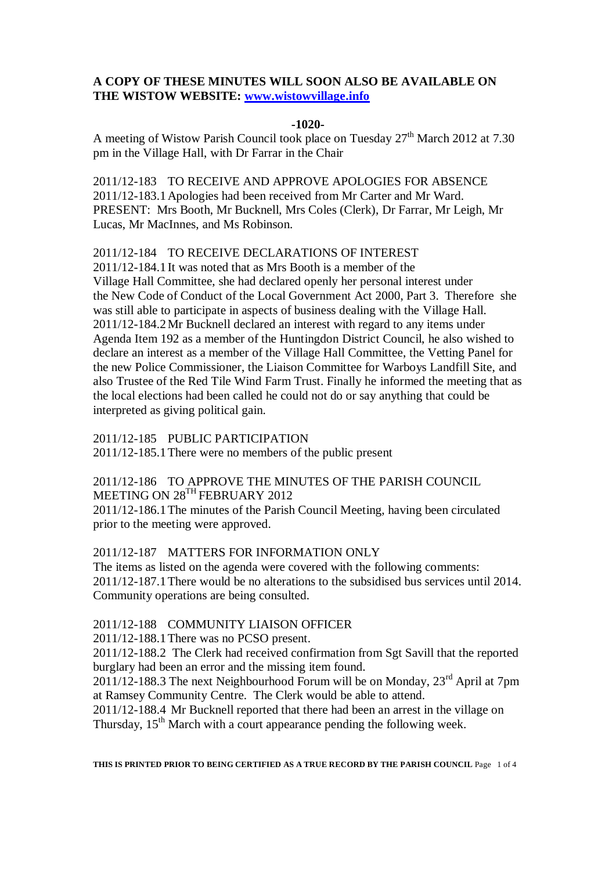## **A COPY OF THESE MINUTES WILL SOON ALSO BE AVAILABLE ON THE WISTOW WEBSITE: [www.wistowvillage.info](http://www.wistowvillage.info/)**

#### **-1020-**

A meeting of Wistow Parish Council took place on Tuesday 27<sup>th</sup> March 2012 at 7.30 pm in the Village Hall, with Dr Farrar in the Chair

2011/12-183 TO RECEIVE AND APPROVE APOLOGIES FOR ABSENCE 2011/12-183.1Apologies had been received from Mr Carter and Mr Ward. PRESENT: Mrs Booth, Mr Bucknell, Mrs Coles (Clerk), Dr Farrar, Mr Leigh, Mr Lucas, Mr MacInnes, and Ms Robinson.

## 2011/12-184 TO RECEIVE DECLARATIONS OF INTEREST

2011/12-184.1It was noted that as Mrs Booth is a member of the Village Hall Committee, she had declared openly her personal interest under the New Code of Conduct of the Local Government Act 2000, Part 3. Therefore she was still able to participate in aspects of business dealing with the Village Hall. 2011/12-184.2Mr Bucknell declared an interest with regard to any items under Agenda Item 192 as a member of the Huntingdon District Council, he also wished to declare an interest as a member of the Village Hall Committee, the Vetting Panel for the new Police Commissioner, the Liaison Committee for Warboys Landfill Site, and also Trustee of the Red Tile Wind Farm Trust. Finally he informed the meeting that as the local elections had been called he could not do or say anything that could be interpreted as giving political gain.

### 2011/12-185 PUBLIC PARTICIPATION

2011/12-185.1There were no members of the public present

#### 2011/12-186 TO APPROVE THE MINUTES OF THE PARISH COUNCIL MEETING ON 28<sup>TH</sup> FEBRUARY 2012

2011/12-186.1The minutes of the Parish Council Meeting, having been circulated prior to the meeting were approved.

## 2011/12-187 MATTERS FOR INFORMATION ONLY

The items as listed on the agenda were covered with the following comments: 2011/12-187.1There would be no alterations to the subsidised bus services until 2014. Community operations are being consulted.

## 2011/12-188 COMMUNITY LIAISON OFFICER

2011/12-188.1There was no PCSO present.

2011/12-188.2 The Clerk had received confirmation from Sgt Savill that the reported burglary had been an error and the missing item found.

 $2011/12-188.3$  The next Neighbourhood Forum will be on Monday,  $23<sup>rd</sup>$  April at 7pm at Ramsey Community Centre. The Clerk would be able to attend.

2011/12-188.4 Mr Bucknell reported that there had been an arrest in the village on Thursday, 15<sup>th</sup> March with a court appearance pending the following week.

**THIS IS PRINTED PRIOR TO BEING CERTIFIED AS A TRUE RECORD BY THE PARISH COUNCIL** Page 1 of 4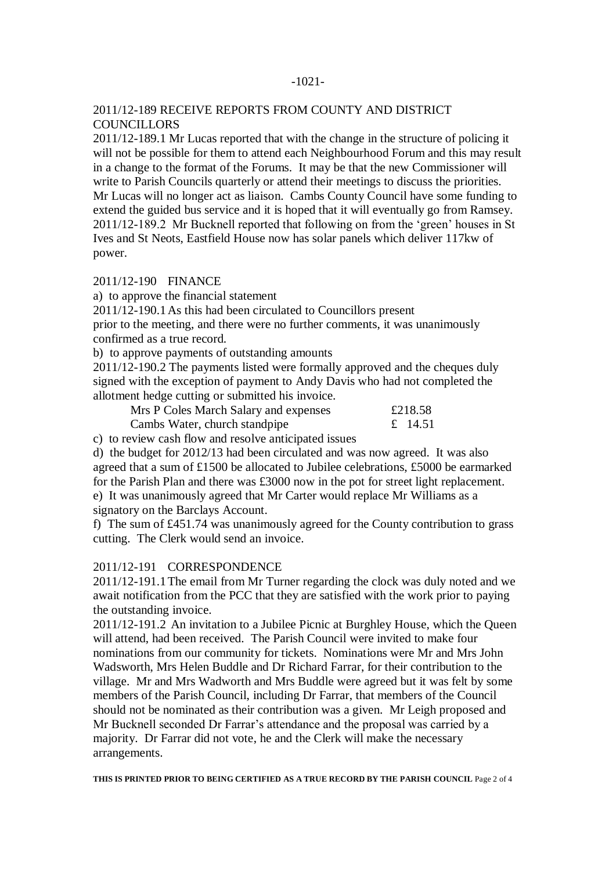#### -1021-

## 2011/12-189 RECEIVE REPORTS FROM COUNTY AND DISTRICT **COUNCILLORS**

2011/12-189.1 Mr Lucas reported that with the change in the structure of policing it will not be possible for them to attend each Neighbourhood Forum and this may result in a change to the format of the Forums. It may be that the new Commissioner will write to Parish Councils quarterly or attend their meetings to discuss the priorities. Mr Lucas will no longer act as liaison. Cambs County Council have some funding to extend the guided bus service and it is hoped that it will eventually go from Ramsey. 2011/12-189.2 Mr Bucknell reported that following on from the 'green' houses in St Ives and St Neots, Eastfield House now has solar panels which deliver 117kw of power.

# 2011/12-190 FINANCE

a) to approve the financial statement

2011/12-190.1As this had been circulated to Councillors present

prior to the meeting, and there were no further comments, it was unanimously confirmed as a true record.

b) to approve payments of outstanding amounts

2011/12-190.2 The payments listed were formally approved and the cheques duly signed with the exception of payment to Andy Davis who had not completed the allotment hedge cutting or submitted his invoice.

| Mrs P Coles March Salary and expenses | £218.58 |
|---------------------------------------|---------|
| Cambs Water, church standpipe         | £ 14.51 |

c) to review cash flow and resolve anticipated issues

d) the budget for 2012/13 had been circulated and was now agreed. It was also agreed that a sum of £1500 be allocated to Jubilee celebrations, £5000 be earmarked for the Parish Plan and there was £3000 now in the pot for street light replacement. e) It was unanimously agreed that Mr Carter would replace Mr Williams as a signatory on the Barclays Account.

f) The sum of £451.74 was unanimously agreed for the County contribution to grass cutting. The Clerk would send an invoice.

## 2011/12-191 CORRESPONDENCE

2011/12-191.1The email from Mr Turner regarding the clock was duly noted and we await notification from the PCC that they are satisfied with the work prior to paying the outstanding invoice.

2011/12-191.2 An invitation to a Jubilee Picnic at Burghley House, which the Queen will attend, had been received. The Parish Council were invited to make four nominations from our community for tickets. Nominations were Mr and Mrs John Wadsworth, Mrs Helen Buddle and Dr Richard Farrar, for their contribution to the village. Mr and Mrs Wadworth and Mrs Buddle were agreed but it was felt by some members of the Parish Council, including Dr Farrar, that members of the Council should not be nominated as their contribution was a given. Mr Leigh proposed and Mr Bucknell seconded Dr Farrar's attendance and the proposal was carried by a majority. Dr Farrar did not vote, he and the Clerk will make the necessary arrangements.

**THIS IS PRINTED PRIOR TO BEING CERTIFIED AS A TRUE RECORD BY THE PARISH COUNCIL** Page 2 of 4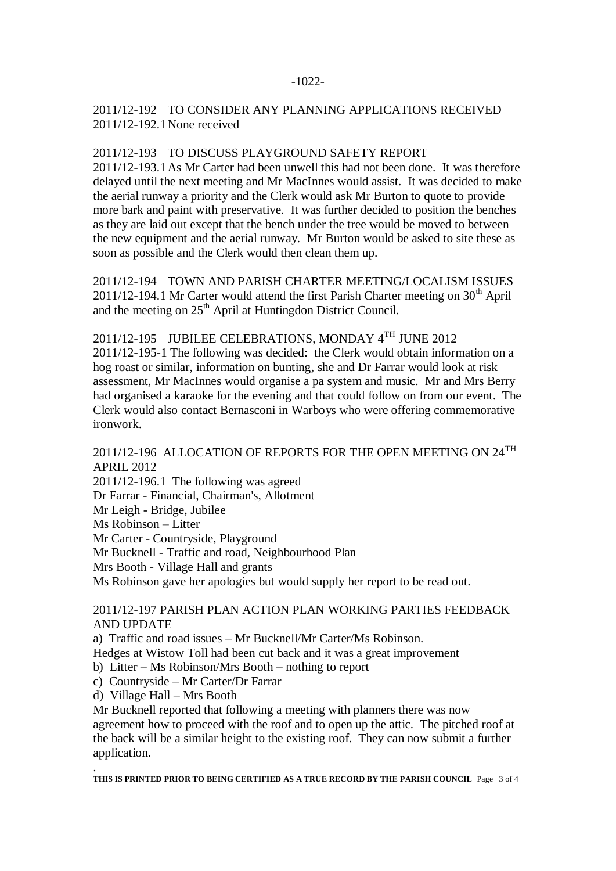# 2011/12-192 TO CONSIDER ANY PLANNING APPLICATIONS RECEIVED 2011/12-192.1None received

## 2011/12-193 TO DISCUSS PLAYGROUND SAFETY REPORT

2011/12-193.1As Mr Carter had been unwell this had not been done. It was therefore delayed until the next meeting and Mr MacInnes would assist. It was decided to make the aerial runway a priority and the Clerk would ask Mr Burton to quote to provide more bark and paint with preservative. It was further decided to position the benches as they are laid out except that the bench under the tree would be moved to between the new equipment and the aerial runway. Mr Burton would be asked to site these as soon as possible and the Clerk would then clean them up.

2011/12-194 TOWN AND PARISH CHARTER MEETING/LOCALISM ISSUES  $2011/12-194.1$  Mr Carter would attend the first Parish Charter meeting on  $30<sup>th</sup>$  April and the meeting on  $25<sup>th</sup>$  April at Huntingdon District Council.

2011/12-195 JUBILEE CELEBRATIONS, MONDAY 4TH JUNE 2012

2011/12-195-1 The following was decided: the Clerk would obtain information on a hog roast or similar, information on bunting, she and Dr Farrar would look at risk assessment, Mr MacInnes would organise a pa system and music. Mr and Mrs Berry had organised a karaoke for the evening and that could follow on from our event. The Clerk would also contact Bernasconi in Warboys who were offering commemorative ironwork.

# 2011/12-196 ALLOCATION OF REPORTS FOR THE OPEN MEETING ON 24<sup>TH</sup> APRIL 2012

2011/12-196.1 The following was agreed Dr Farrar - Financial, Chairman's, Allotment Mr Leigh - Bridge, Jubilee Ms Robinson – Litter Mr Carter - Countryside, Playground Mr Bucknell - Traffic and road, Neighbourhood Plan Mrs Booth - Village Hall and grants Ms Robinson gave her apologies but would supply her report to be read out.

# 2011/12-197 PARISH PLAN ACTION PLAN WORKING PARTIES FEEDBACK AND UPDATE

a) Traffic and road issues – Mr Bucknell/Mr Carter/Ms Robinson.

Hedges at Wistow Toll had been cut back and it was a great improvement

b) Litter – Ms Robinson/Mrs Booth – nothing to report

c) Countryside – Mr Carter/Dr Farrar

d) Village Hall – Mrs Booth

Mr Bucknell reported that following a meeting with planners there was now agreement how to proceed with the roof and to open up the attic. The pitched roof at the back will be a similar height to the existing roof. They can now submit a further application.

. **THIS IS PRINTED PRIOR TO BEING CERTIFIED AS A TRUE RECORD BY THE PARISH COUNCIL** Page 3 of 4